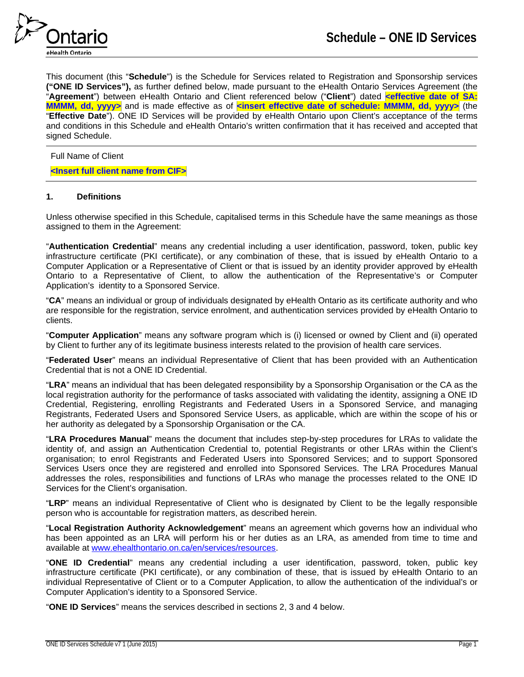

This document (this "**Schedule**") is the Schedule for Services related to Registration and Sponsorship services **("ONE ID Services"),** as further defined below, made pursuant to the eHealth Ontario Services Agreement (the "**Agreement**") between eHealth Ontario and Client referenced below ("**Client**") dated **<effective date of SA: MMMM, dd, yyyy>** and is made effective as of **<insert effective date of schedule: MMMM, dd, yyyy>** (the "**Effective Date**"). ONE ID Services will be provided by eHealth Ontario upon Client's acceptance of the terms and conditions in this Schedule and eHealth Ontario's written confirmation that it has received and accepted that signed Schedule.

## Full Name of Client

## **<Insert full client name from CIF>**

## **1. Definitions**

Unless otherwise specified in this Schedule, capitalised terms in this Schedule have the same meanings as those assigned to them in the Agreement:

"**Authentication Credential**" means any credential including a user identification, password, token, public key infrastructure certificate (PKI certificate), or any combination of these, that is issued by eHealth Ontario to a Computer Application or a Representative of Client or that is issued by an identity provider approved by eHealth Ontario to a Representative of Client, to allow the authentication of the Representative's or Computer Application's identity to a Sponsored Service.

"**CA**" means an individual or group of individuals designated by eHealth Ontario as its certificate authority and who are responsible for the registration, service enrolment, and authentication services provided by eHealth Ontario to clients.

"**Computer Application**" means any software program which is (i) licensed or owned by Client and (ii) operated by Client to further any of its legitimate business interests related to the provision of health care services.

"**Federated User**" means an individual Representative of Client that has been provided with an Authentication Credential that is not a ONE ID Credential.

"**LRA**" means an individual that has been delegated responsibility by a Sponsorship Organisation or the CA as the local registration authority for the performance of tasks associated with validating the identity, assigning a ONE ID Credential, Registering, enrolling Registrants and Federated Users in a Sponsored Service, and managing Registrants, Federated Users and Sponsored Service Users, as applicable, which are within the scope of his or her authority as delegated by a Sponsorship Organisation or the CA.

"**LRA Procedures Manual**" means the document that includes step-by-step procedures for LRAs to validate the identity of, and assign an Authentication Credential to, potential Registrants or other LRAs within the Client's organisation; to enrol Registrants and Federated Users into Sponsored Services; and to support Sponsored Services Users once they are registered and enrolled into Sponsored Services. The LRA Procedures Manual addresses the roles, responsibilities and functions of LRAs who manage the processes related to the ONE ID Services for the Client's organisation.

"**LRP**" means an individual Representative of Client who is designated by Client to be the legally responsible person who is accountable for registration matters, as described herein.

"**Local Registration Authority Acknowledgement**" means an agreement which governs how an individual who has been appointed as an LRA will perform his or her duties as an LRA, as amended from time to time and available at [www.ehealthontario.on.ca/en/services/resources.](http://www.ehealthontario.on.ca/en/services/resources)

"**ONE ID Credential**" means any credential including a user identification, password, token, public key infrastructure certificate (PKI certificate), or any combination of these, that is issued by eHealth Ontario to an individual Representative of Client or to a Computer Application, to allow the authentication of the individual's or Computer Application's identity to a Sponsored Service.

"**ONE ID Services**" means the services described in sections 2, 3 and 4 below.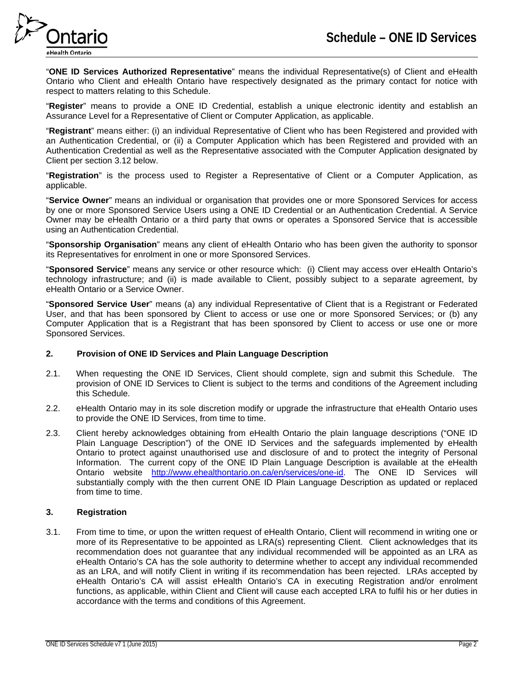

"**ONE ID Services Authorized Representative**" means the individual Representative(s) of Client and eHealth Ontario who Client and eHealth Ontario have respectively designated as the primary contact for notice with respect to matters relating to this Schedule.

"**Register**" means to provide a ONE ID Credential, establish a unique electronic identity and establish an Assurance Level for a Representative of Client or Computer Application, as applicable.

"**Registrant**" means either: (i) an individual Representative of Client who has been Registered and provided with an Authentication Credential, or (ii) a Computer Application which has been Registered and provided with an Authentication Credential as well as the Representative associated with the Computer Application designated by Client per section 3.12 below.

"**Registration**" is the process used to Register a Representative of Client or a Computer Application, as applicable.

"**Service Owner**" means an individual or organisation that provides one or more Sponsored Services for access by one or more Sponsored Service Users using a ONE ID Credential or an Authentication Credential. A Service Owner may be eHealth Ontario or a third party that owns or operates a Sponsored Service that is accessible using an Authentication Credential.

"**Sponsorship Organisation**" means any client of eHealth Ontario who has been given the authority to sponsor its Representatives for enrolment in one or more Sponsored Services.

"**Sponsored Service**" means any service or other resource which: (i) Client may access over eHealth Ontario's technology infrastructure; and (ii) is made available to Client, possibly subject to a separate agreement, by eHealth Ontario or a Service Owner.

"**Sponsored Service User**" means (a) any individual Representative of Client that is a Registrant or Federated User, and that has been sponsored by Client to access or use one or more Sponsored Services; or (b) any Computer Application that is a Registrant that has been sponsored by Client to access or use one or more Sponsored Services.

## **2. Provision of ONE ID Services and Plain Language Description**

- 2.1. When requesting the ONE ID Services, Client should complete, sign and submit this Schedule. The provision of ONE ID Services to Client is subject to the terms and conditions of the Agreement including this Schedule.
- 2.2. eHealth Ontario may in its sole discretion modify or upgrade the infrastructure that eHealth Ontario uses to provide the ONE ID Services, from time to time.
- 2.3. Client hereby acknowledges obtaining from eHealth Ontario the plain language descriptions ("ONE ID Plain Language Description") of the ONE ID Services and the safeguards implemented by eHealth Ontario to protect against unauthorised use and disclosure of and to protect the integrity of Personal Information. The current copy of the ONE ID Plain Language Description is available at the eHealth Ontario website [http://www.ehealthontario.on.ca/en/services/one-id.](http://www.ehealthontario.on.ca/en/services/one-id) The ONE ID Services will substantially comply with the then current ONE ID Plain Language Description as updated or replaced from time to time.

## **3. Registration**

3.1. From time to time, or upon the written request of eHealth Ontario, Client will recommend in writing one or more of its Representative to be appointed as LRA(s) representing Client. Client acknowledges that its recommendation does not guarantee that any individual recommended will be appointed as an LRA as eHealth Ontario's CA has the sole authority to determine whether to accept any individual recommended as an LRA, and will notify Client in writing if its recommendation has been rejected. LRAs accepted by eHealth Ontario's CA will assist eHealth Ontario's CA in executing Registration and/or enrolment functions, as applicable, within Client and Client will cause each accepted LRA to fulfil his or her duties in accordance with the terms and conditions of this Agreement.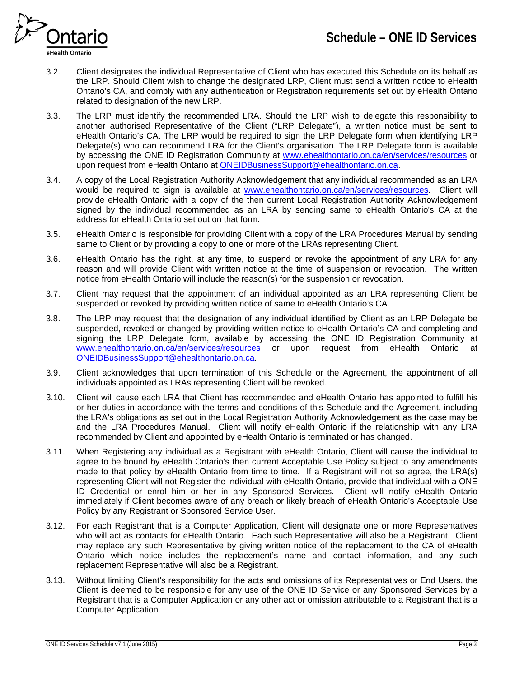

- 3.2. Client designates the individual Representative of Client who has executed this Schedule on its behalf as the LRP. Should Client wish to change the designated LRP, Client must send a written notice to eHealth Ontario's CA, and comply with any authentication or Registration requirements set out by eHealth Ontario related to designation of the new LRP.
- 3.3. The LRP must identify the recommended LRA. Should the LRP wish to delegate this responsibility to another authorised Representative of the Client ("LRP Delegate"), a written notice must be sent to eHealth Ontario's CA. The LRP would be required to sign the LRP Delegate form when identifying LRP Delegate(s) who can recommend LRA for the Client's organisation. The LRP Delegate form is available by accessing the ONE ID Registration Community at [www.ehealthontario.on.ca/en/services/resources](http://www.ehealthontario.on.ca/en/services/resources) or upon request from eHealth Ontario at [ONEIDBusinessSupport@ehealthontario.on.ca.](mailto:ONEIDBusinessSupport@ehealthontario.on.ca)
- 3.4. A copy of the Local Registration Authority Acknowledgement that any individual recommended as an LRA would be required to sign is available at [www.ehealthontario.on.ca/en/services/resources.](http://www.ehealthontario.on.ca/en/services/resources) Client will provide eHealth Ontario with a copy of the then current Local Registration Authority Acknowledgement signed by the individual recommended as an LRA by sending same to eHealth Ontario's CA at the address for eHealth Ontario set out on that form.
- 3.5. eHealth Ontario is responsible for providing Client with a copy of the LRA Procedures Manual by sending same to Client or by providing a copy to one or more of the LRAs representing Client.
- 3.6. eHealth Ontario has the right, at any time, to suspend or revoke the appointment of any LRA for any reason and will provide Client with written notice at the time of suspension or revocation. The written notice from eHealth Ontario will include the reason(s) for the suspension or revocation.
- 3.7. Client may request that the appointment of an individual appointed as an LRA representing Client be suspended or revoked by providing written notice of same to eHealth Ontario's CA.
- 3.8. The LRP may request that the designation of any individual identified by Client as an LRP Delegate be suspended, revoked or changed by providing written notice to eHealth Ontario's CA and completing and signing the LRP Delegate form, available by accessing the ONE ID Registration Community at [www.ehealthontario.on.ca/en/services/resources](http://www.ehealthontario.on.ca/en/services/resources) or upon request from eHealth Ontario at [ONEIDBusinessSupport@ehealthontario.on.ca.](mailto:ONEIDBusinessSupport@ehealthontario.on.ca)
- 3.9. Client acknowledges that upon termination of this Schedule or the Agreement, the appointment of all individuals appointed as LRAs representing Client will be revoked.
- 3.10. Client will cause each LRA that Client has recommended and eHealth Ontario has appointed to fulfill his or her duties in accordance with the terms and conditions of this Schedule and the Agreement, including the LRA's obligations as set out in the Local Registration Authority Acknowledgement as the case may be and the LRA Procedures Manual. Client will notify eHealth Ontario if the relationship with any LRA recommended by Client and appointed by eHealth Ontario is terminated or has changed.
- 3.11. When Registering any individual as a Registrant with eHealth Ontario, Client will cause the individual to agree to be bound by eHealth Ontario's then current Acceptable Use Policy subject to any amendments made to that policy by eHealth Ontario from time to time. If a Registrant will not so agree, the LRA(s) representing Client will not Register the individual with eHealth Ontario, provide that individual with a ONE ID Credential or enrol him or her in any Sponsored Services. Client will notify eHealth Ontario immediately if Client becomes aware of any breach or likely breach of eHealth Ontario's Acceptable Use Policy by any Registrant or Sponsored Service User.
- 3.12. For each Registrant that is a Computer Application, Client will designate one or more Representatives who will act as contacts for eHealth Ontario. Each such Representative will also be a Registrant. Client may replace any such Representative by giving written notice of the replacement to the CA of eHealth Ontario which notice includes the replacement's name and contact information, and any such replacement Representative will also be a Registrant.
- 3.13. Without limiting Client's responsibility for the acts and omissions of its Representatives or End Users, the Client is deemed to be responsible for any use of the ONE ID Service or any Sponsored Services by a Registrant that is a Computer Application or any other act or omission attributable to a Registrant that is a Computer Application.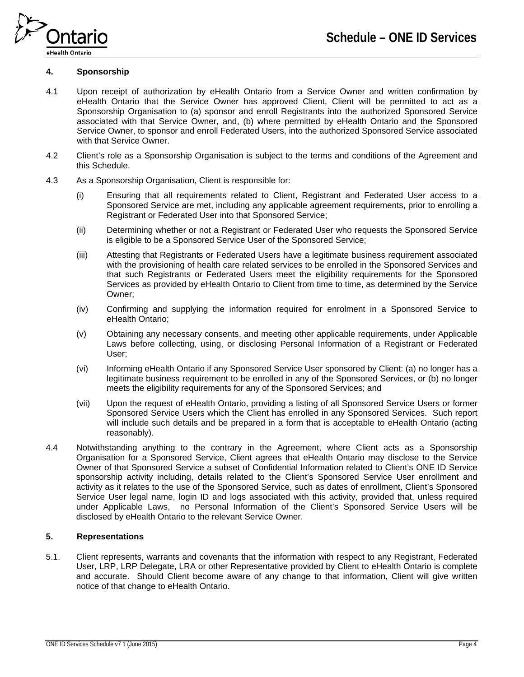

## **4. Sponsorship**

- 4.1 Upon receipt of authorization by eHealth Ontario from a Service Owner and written confirmation by eHealth Ontario that the Service Owner has approved Client, Client will be permitted to act as a Sponsorship Organisation to (a) sponsor and enroll Registrants into the authorized Sponsored Service associated with that Service Owner, and, (b) where permitted by eHealth Ontario and the Sponsored Service Owner, to sponsor and enroll Federated Users, into the authorized Sponsored Service associated with that Service Owner.
- 4.2 Client's role as a Sponsorship Organisation is subject to the terms and conditions of the Agreement and this Schedule.
- 4.3 As a Sponsorship Organisation, Client is responsible for:
	- (i) Ensuring that all requirements related to Client, Registrant and Federated User access to a Sponsored Service are met, including any applicable agreement requirements, prior to enrolling a Registrant or Federated User into that Sponsored Service;
	- (ii) Determining whether or not a Registrant or Federated User who requests the Sponsored Service is eligible to be a Sponsored Service User of the Sponsored Service;
	- (iii) Attesting that Registrants or Federated Users have a legitimate business requirement associated with the provisioning of health care related services to be enrolled in the Sponsored Services and that such Registrants or Federated Users meet the eligibility requirements for the Sponsored Services as provided by eHealth Ontario to Client from time to time, as determined by the Service Owner;
	- (iv) Confirming and supplying the information required for enrolment in a Sponsored Service to eHealth Ontario;
	- (v) Obtaining any necessary consents, and meeting other applicable requirements, under Applicable Laws before collecting, using, or disclosing Personal Information of a Registrant or Federated User;
	- (vi) Informing eHealth Ontario if any Sponsored Service User sponsored by Client: (a) no longer has a legitimate business requirement to be enrolled in any of the Sponsored Services, or (b) no longer meets the eligibility requirements for any of the Sponsored Services; and
	- (vii) Upon the request of eHealth Ontario, providing a listing of all Sponsored Service Users or former Sponsored Service Users which the Client has enrolled in any Sponsored Services. Such report will include such details and be prepared in a form that is acceptable to eHealth Ontario (acting reasonably).
- 4.4 Notwithstanding anything to the contrary in the Agreement, where Client acts as a Sponsorship Organisation for a Sponsored Service, Client agrees that eHealth Ontario may disclose to the Service Owner of that Sponsored Service a subset of Confidential Information related to Client's ONE ID Service sponsorship activity including, details related to the Client's Sponsored Service User enrollment and activity as it relates to the use of the Sponsored Service, such as dates of enrollment, Client's Sponsored Service User legal name, login ID and logs associated with this activity, provided that, unless required under Applicable Laws, no Personal Information of the Client's Sponsored Service Users will be disclosed by eHealth Ontario to the relevant Service Owner.

### **5. Representations**

5.1. Client represents, warrants and covenants that the information with respect to any Registrant, Federated User, LRP, LRP Delegate, LRA or other Representative provided by Client to eHealth Ontario is complete and accurate. Should Client become aware of any change to that information, Client will give written notice of that change to eHealth Ontario.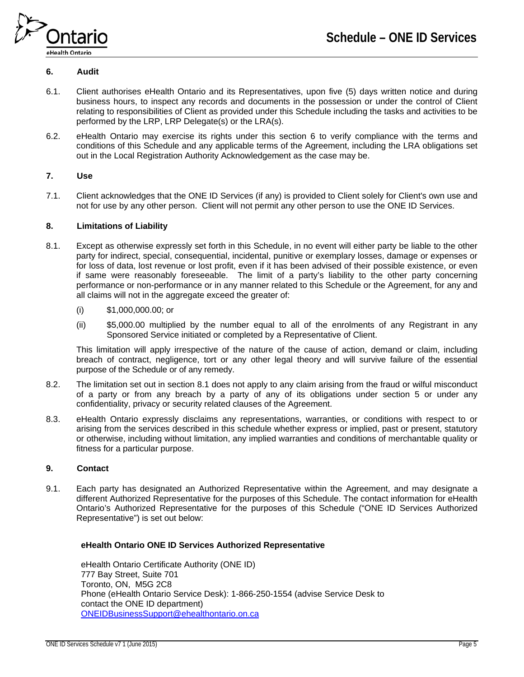

# <span id="page-4-0"></span>**6. Audit**

- 6.1. Client authorises eHealth Ontario and its Representatives, upon five (5) days written notice and during business hours, to inspect any records and documents in the possession or under the control of Client relating to responsibilities of Client as provided under this Schedule including the tasks and activities to be performed by the LRP, LRP Delegate(s) or the LRA(s).
- 6.2. eHealth Ontario may exercise its rights under this section [6](#page-4-0) to verify compliance with the terms and conditions of this Schedule and any applicable terms of the Agreement, including the LRA obligations set out in the Local Registration Authority Acknowledgement as the case may be.

## **7. Use**

7.1. Client acknowledges that the ONE ID Services (if any) is provided to Client solely for Client's own use and not for use by any other person. Client will not permit any other person to use the ONE ID Services.

### **8. Limitations of Liability**

- 8.1. Except as otherwise expressly set forth in this Schedule, in no event will either party be liable to the other party for indirect, special, consequential, incidental, punitive or exemplary losses, damage or expenses or for loss of data, lost revenue or lost profit, even if it has been advised of their possible existence, or even if same were reasonably foreseeable. The limit of a party's liability to the other party concerning performance or non-performance or in any manner related to this Schedule or the Agreement, for any and all claims will not in the aggregate exceed the greater of:
	- (i) \$1,000,000.00; or
	- (ii) \$5,000.00 multiplied by the number equal to all of the enrolments of any Registrant in any Sponsored Service initiated or completed by a Representative of Client.

This limitation will apply irrespective of the nature of the cause of action, demand or claim, including breach of contract, negligence, tort or any other legal theory and will survive failure of the essential purpose of the Schedule or of any remedy.

- 8.2. The limitation set out in section 8.1 does not apply to any claim arising from the fraud or wilful misconduct of a party or from any breach by a party of any of its obligations under section 5 or under any confidentiality, privacy or security related clauses of the Agreement.
- 8.3. eHealth Ontario expressly disclaims any representations, warranties, or conditions with respect to or arising from the services described in this schedule whether express or implied, past or present, statutory or otherwise, including without limitation, any implied warranties and conditions of merchantable quality or fitness for a particular purpose.

#### **9. Contact**

9.1. Each party has designated an Authorized Representative within the Agreement, and may designate a different Authorized Representative for the purposes of this Schedule. The contact information for eHealth Ontario's Authorized Representative for the purposes of this Schedule ("ONE ID Services Authorized Representative") is set out below:

#### **eHealth Ontario ONE ID Services Authorized Representative**

eHealth Ontario Certificate Authority (ONE ID) 777 Bay Street, Suite 701 Toronto, ON, M5G 2C8 Phone (eHealth Ontario Service Desk): 1-866-250-1554 (advise Service Desk to contact the ONE ID department) [ONEIDBusinessSupport@ehealthontario.on.ca](mailto:ONEIDBusinessSupport@ehealthontario.on.ca)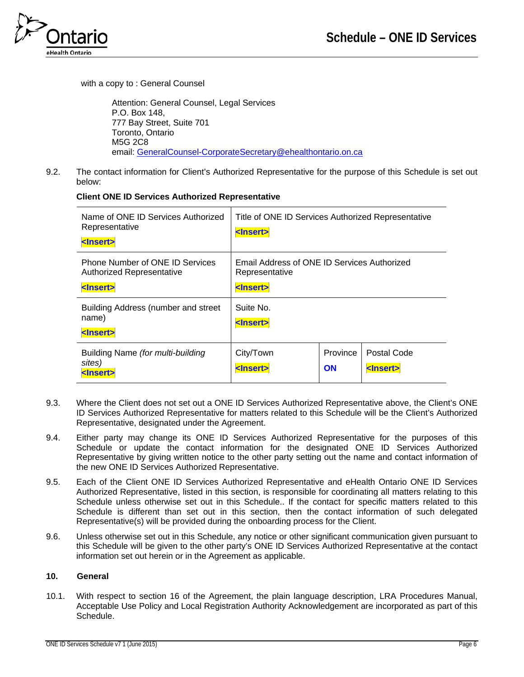

with a copy to : General Counsel

Attention: General Counsel, Legal Services P.O. Box 148, 777 Bay Street, Suite 701 Toronto, Ontario M5G 2C8 email: [GeneralCounsel-CorporateSecretary@ehealthontario.on.ca](mailto:GeneralCounsel-CorporateSecretary@ehealthontario.on.ca) 

9.2. The contact information for Client's Authorized Representative for the purpose of this Schedule is set out below:

# **Client ONE ID Services Authorized Representative**

| Name of ONE ID Services Authorized<br>Representative<br><lnsert></lnsert>                | Title of ONE ID Services Authorized Representative<br><lnsert></lnsert>            |                       |                                  |
|------------------------------------------------------------------------------------------|------------------------------------------------------------------------------------|-----------------------|----------------------------------|
| <b>Phone Number of ONE ID Services</b><br>Authorized Representative<br><lnsert></lnsert> | Email Address of ONE ID Services Authorized<br>Representative<br><lnsert></lnsert> |                       |                                  |
| Building Address (number and street<br>name)<br><lnsert></lnsert>                        | Suite No.<br><lnsert></lnsert>                                                     |                       |                                  |
| Building Name (for multi-building<br>sites)<br><b><insert></insert></b>                  | City/Town<br><lnsert></lnsert>                                                     | Province<br><b>ON</b> | Postal Code<br><lnsert></lnsert> |

- 9.3. Where the Client does not set out a ONE ID Services Authorized Representative above, the Client's ONE ID Services Authorized Representative for matters related to this Schedule will be the Client's Authorized Representative, designated under the Agreement.
- 9.4. Either party may change its ONE ID Services Authorized Representative for the purposes of this Schedule or update the contact information for the designated ONE ID Services Authorized Representative by giving written notice to the other party setting out the name and contact information of the new ONE ID Services Authorized Representative.
- 9.5. Each of the Client ONE ID Services Authorized Representative and eHealth Ontario ONE ID Services Authorized Representative, listed in this section, is responsible for coordinating all matters relating to this Schedule unless otherwise set out in this Schedule.. If the contact for specific matters related to this Schedule is different than set out in this section, then the contact information of such delegated Representative(s) will be provided during the onboarding process for the Client.
- 9.6. Unless otherwise set out in this Schedule, any notice or other significant communication given pursuant to this Schedule will be given to the other party's ONE ID Services Authorized Representative at the contact information set out herein or in the Agreement as applicable.

## **10. General**

10.1. With respect to section 16 of the Agreement, the plain language description, LRA Procedures Manual, Acceptable Use Policy and Local Registration Authority Acknowledgement are incorporated as part of this Schedule.